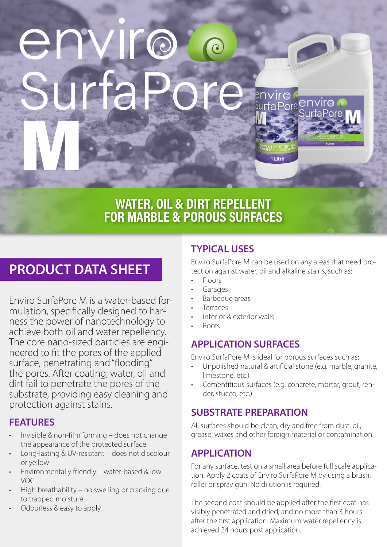# **NC** Jrtal Marian

## WATER, OIL & DIRT REPELLENT FOR MARBLE & POROUS SURFACES

# **PRODUCT DATA SHEET**

Enviro SurfaPore M is a water-based formulation, specifically designed to harness the power of nanotechnology to achieve both oil and water repellency. The core nano-sized particles are engineered to fit the pores of the applied surface, penetrating and "flooding" the pores. After coating, water, oil and dirt fail to penetrate the pores of the substrate, providing easy cleaning and protection against stains.

## **FEATURES**

- Invisible & non-film forming does not change the appearance of the protected surface
- Long-lasting & UV-resistant does not discolour or yellow
- Environmentally friendly water-based & low VOC
- High breathability no swelling or cracking due to trapped moisture
- Odourless & easy to apply

## **TYPICAL USES**

Enviro SurfaPore M can be used on any areas that need protection against water, oil and alkaline stains, such as:

**viro** 

1 Litre

Pore

enviro

- Floors
- **Garages**
- Barbeque areas
- **Terraces**
- Interior & exterior walls
- Roofs

## **APPLICATION SURFACES**

Enviro SurfaPore M is ideal for porous surfaces such as:

- Unpolished natural & artificial stone (e.g. marble, granite, limestone, etc.)
- Cementitious surfaces (e.g. concrete, mortar, grout, render, stucco, etc.)

## **SUBSTRATE PREPARATION**

All surfaces should be clean, dry and free from dust, oil, grease, waxes and other foreign material or contamination.

## **APPLICATION**

For any surface, test on a small area before full scale application. Apply 2 coats of Enviro SurfaPore M by using a brush, roller or spray gun. No dilution is required.

The second coat should be applied after the first coat has visibly penetrated and dried, and no more than 3 hours after the first application. Maximum water repellency is achieved 24 hours post application.